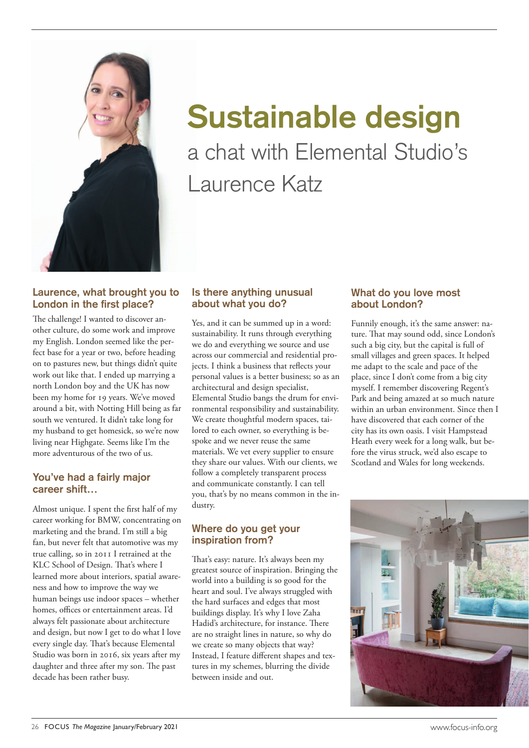

# **Sustainable design** a chat with Elemental Studio's Laurence Katz

## **Laurence, what brought you to London in the first place?**

The challenge! I wanted to discover another culture, do some work and improve my English. London seemed like the perfect base for a year or two, before heading on to pastures new, but things didn't quite work out like that. I ended up marrying a north London boy and the UK has now been my home for 19 years. We've moved around a bit, with Notting Hill being as far south we ventured. It didn't take long for my husband to get homesick, so we're now living near Highgate. Seems like I'm the more adventurous of the two of us.

### **You've had a fairly major career shift…**

Almost unique. I spent the first half of my career working for BMW, concentrating on marketing and the brand. I'm still a big fan, but never felt that automotive was my true calling, so in 2011 I retrained at the KLC School of Design. That's where I learned more about interiors, spatial awareness and how to improve the way we human beings use indoor spaces – whether homes, offices or entertainment areas. I'd always felt passionate about architecture and design, but now I get to do what I love every single day. That's because Elemental Studio was born in 2016, six years after my daughter and three after my son. The past decade has been rather busy.

## **Is there anything unusual about what you do?**

Yes, and it can be summed up in a word: sustainability. It runs through everything we do and everything we source and use across our commercial and residential projects. I think a business that reflects your personal values is a better business; so as an architectural and design specialist, Elemental Studio bangs the drum for environmental responsibility and sustainability. We create thoughtful modern spaces, tailored to each owner, so everything is bespoke and we never reuse the same materials. We vet every supplier to ensure they share our values. With our clients, we follow a completely transparent process and communicate constantly. I can tell you, that's by no means common in the industry.

### **Where do you get your inspiration from?**

That's easy: nature. It's always been my greatest source of inspiration. Bringing the world into a building is so good for the heart and soul. I've always struggled with the hard surfaces and edges that most buildings display. It's why I love Zaha Hadid's architecture, for instance. There are no straight lines in nature, so why do we create so many objects that way? Instead, I feature different shapes and textures in my schemes, blurring the divide between inside and out.

### **What do you love most about London?**

Funnily enough, it's the same answer: nature. That may sound odd, since London's such a big city, but the capital is full of small villages and green spaces. It helped me adapt to the scale and pace of the place, since I don't come from a big city myself. I remember discovering Regent's Park and being amazed at so much nature within an urban environment. Since then I have discovered that each corner of the city has its own oasis. I visit Hampstead Heath every week for a long walk, but before the virus struck, we'd also escape to Scotland and Wales for long weekends.